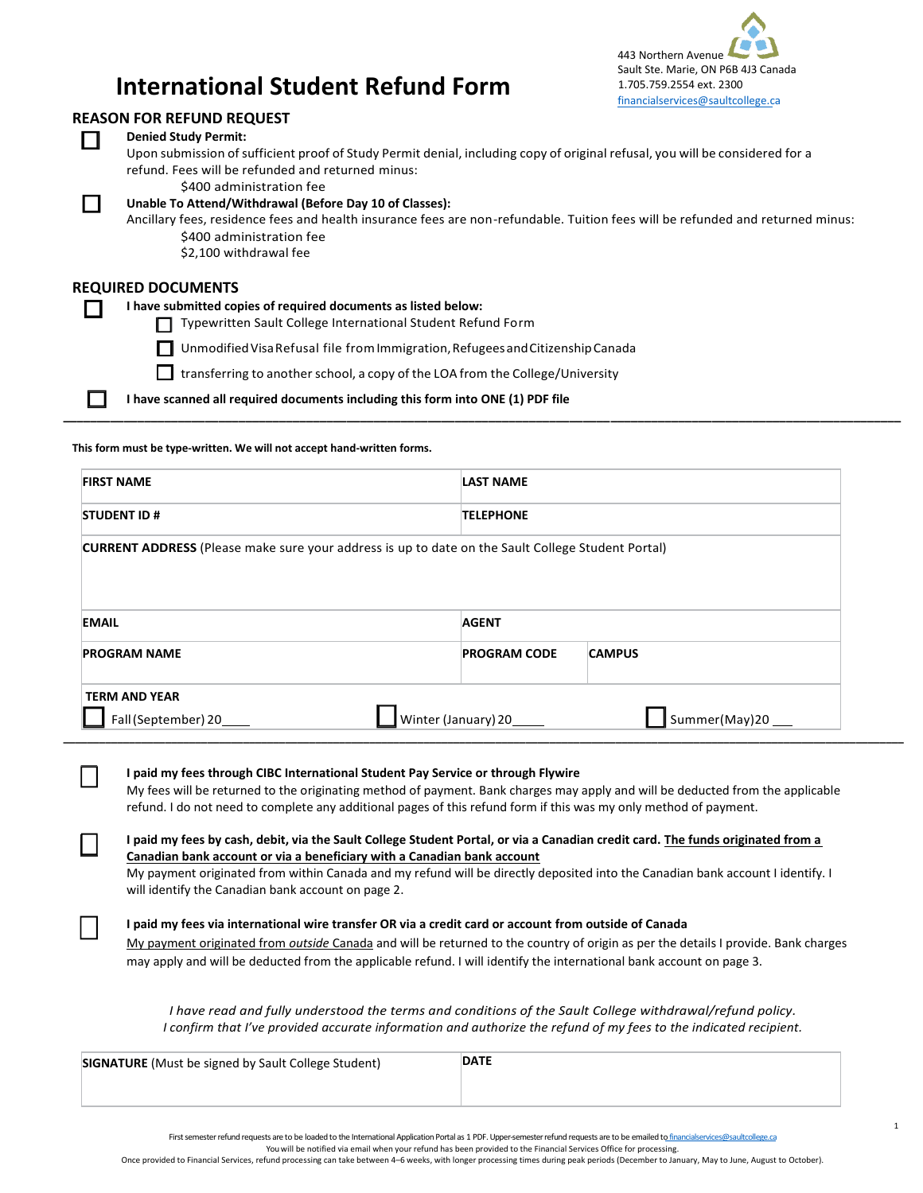

1

# **International Student Refund Form**

### **REASON FOR REFUND REQUEST**

| INLASON TON INLI OND INLOCEST                                                                                                  |
|--------------------------------------------------------------------------------------------------------------------------------|
| <b>Denied Study Permit:</b>                                                                                                    |
| Upon submission of sufficient proof of Study Permit denial, including copy of original refusal, you will be considered for a   |
| refund. Fees will be refunded and returned minus:                                                                              |
| \$400 administration fee                                                                                                       |
| Unable To Attend/Withdrawal (Before Day 10 of Classes):                                                                        |
| Ancillary fees, residence fees and health insurance fees are non-refundable. Tuition fees will be refunded and returned minus: |
| \$400 administration fee                                                                                                       |
| \$2,100 withdrawal fee                                                                                                         |
|                                                                                                                                |
| <b>REQUIRED DOCUMENTS</b>                                                                                                      |
| I have submitted copies of required documents as listed below:                                                                 |
| Typewritten Sault College International Student Refund Form<br>l I                                                             |
|                                                                                                                                |
| Unmodified Visa Refusal file from Immigration, Refugees and Citizenship Canada<br>l 1                                          |
| transferring to another school, a copy of the LOA from the College/University                                                  |

**\_\_\_\_\_\_\_\_\_\_\_\_\_\_\_\_\_\_\_\_\_\_\_\_\_\_\_\_\_\_\_\_\_\_\_\_\_\_\_\_\_\_\_\_\_\_\_\_\_\_\_\_\_\_\_\_\_\_\_\_\_\_\_\_\_\_\_\_\_\_\_\_\_\_\_\_\_\_\_\_\_\_\_\_\_\_\_\_\_\_\_\_\_\_\_\_\_\_\_\_\_\_\_\_\_\_\_\_\_\_\_\_\_\_\_\_\_\_\_\_\_\_\_\_**

**I have scanned all required documents including this form into ONE (1) PDF file**

**This form must be type-written. We will not accept hand-written forms.**

| <b>FIRST NAME</b>                           | <b>LAST NAME</b>                                                                                  |               |  |  |
|---------------------------------------------|---------------------------------------------------------------------------------------------------|---------------|--|--|
| <b>STUDENT ID#</b>                          | <b>TELEPHONE</b>                                                                                  |               |  |  |
|                                             | CURRENT ADDRESS (Please make sure your address is up to date on the Sault College Student Portal) |               |  |  |
|                                             |                                                                                                   |               |  |  |
|                                             |                                                                                                   |               |  |  |
| <b>EMAIL</b>                                | <b>AGENT</b>                                                                                      |               |  |  |
|                                             | <b>PROGRAM CODE</b>                                                                               | <b>CAMPUS</b> |  |  |
| <b>PROGRAM NAME</b><br><b>TERM AND YEAR</b> |                                                                                                   |               |  |  |

#### **I paid my fees through CIBC International Student Pay Service or through Flywire**

My fees will be returned to the originating method of payment. Bank charges may apply and will be deducted from the applicable refund. I do not need to complete any additional pages of this refund form if this was my only method of payment.

### **I paid my fees by cash, debit, via the Sault College Student Portal, or via a Canadian credit card. The funds originated from a Canadian bank account or via a beneficiary with a Canadian bank account**

My payment originated from within Canada and my refund will be directly deposited into the Canadian bank account I identify. I will identify the Canadian bank account on page 2.

#### **I paid my fees via international wire transfer OR via a credit card or account from outside of Canada**

My payment originated from *outside* Canada and will be returned to the country of origin as per the details I provide. Bank charges may apply and will be deducted from the applicable refund. I will identify the international bank account on page 3.

*I have read and fully understood the terms and conditions of the Sault College withdrawal/refund policy. I confirm that I've provided accurate information and authorize the refund of my fees to the indicated recipient.*

| <b>SIGNATURE</b> (Must be signed by Sault College Student) | <b>DATE</b> |
|------------------------------------------------------------|-------------|
|                                                            |             |

First semester refund requests are to be loaded to the International Application Portal as 1 PDF. Upper-semester refund requests are to be emailed t[o financialservices@saultcollege.ca](mailto:financialservices@saultcollege.ca)

You will be notified via email when your refund has been provided to the Financial Services Office for processing.

Once provided to Financial Services, refund processing can take between 4–6 weeks, with longer processing times during peak periods (December to January, May to June, August to October).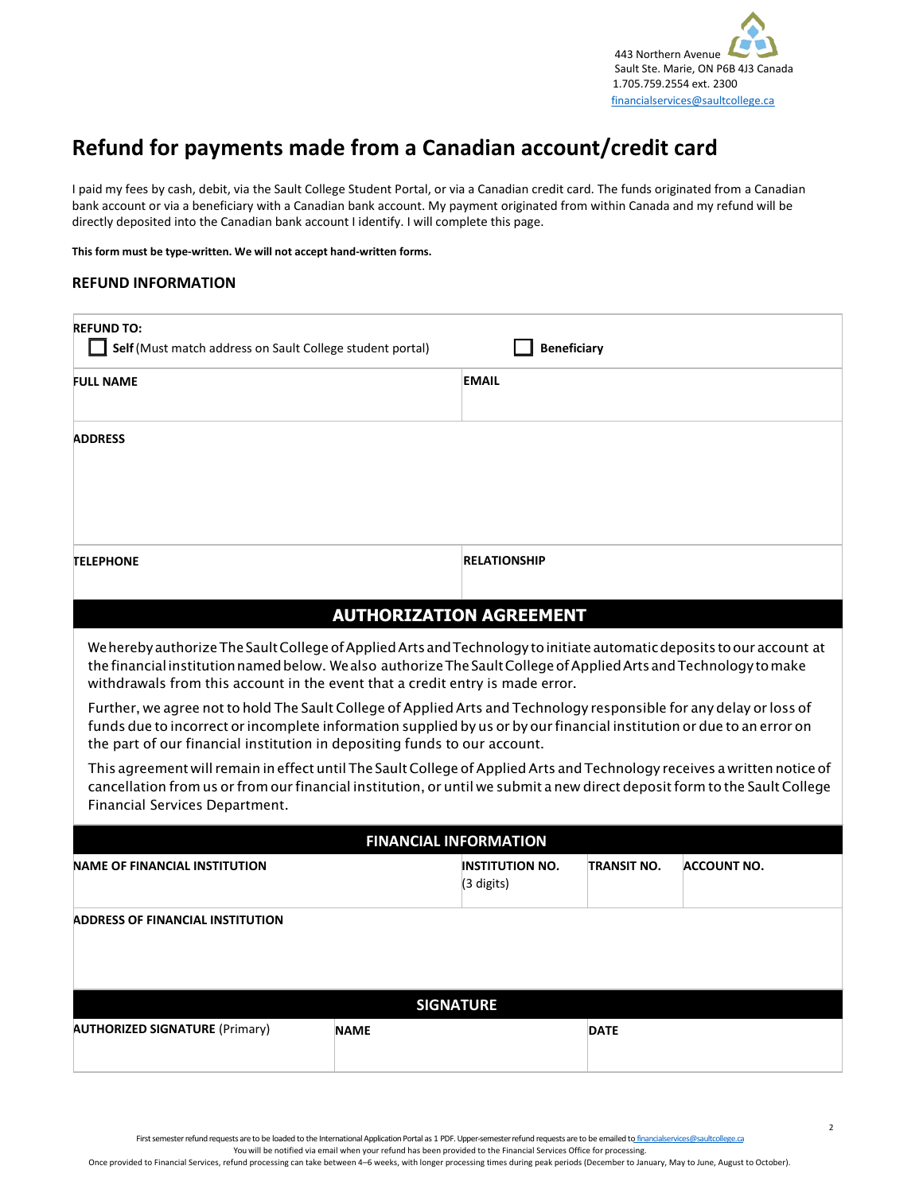

## **Refund for payments made from a Canadian account/credit card**

I paid my fees by cash, debit, via the Sault College Student Portal, or via a Canadian credit card. The funds originated from a Canadian bank account or via a beneficiary with a Canadian bank account. My payment originated from within Canada and my refund will be directly deposited into the Canadian bank account I identify. I will complete this page.

**This form must be type-written. We will not accept hand-written forms.**

### **REFUND INFORMATION**

| <b>REFUND TO:</b><br>Self (Must match address on Sault College student portal)                                                                                                                                                                                                                                                                                                                                                                                                                                                                                                                                                                                                                                                                                                                                                                                                                                                                      |                                | <b>Beneficiary</b>                   |             |                    |
|-----------------------------------------------------------------------------------------------------------------------------------------------------------------------------------------------------------------------------------------------------------------------------------------------------------------------------------------------------------------------------------------------------------------------------------------------------------------------------------------------------------------------------------------------------------------------------------------------------------------------------------------------------------------------------------------------------------------------------------------------------------------------------------------------------------------------------------------------------------------------------------------------------------------------------------------------------|--------------------------------|--------------------------------------|-------------|--------------------|
| <b>FULL NAME</b>                                                                                                                                                                                                                                                                                                                                                                                                                                                                                                                                                                                                                                                                                                                                                                                                                                                                                                                                    |                                | <b>EMAIL</b>                         |             |                    |
| <b>ADDRESS</b>                                                                                                                                                                                                                                                                                                                                                                                                                                                                                                                                                                                                                                                                                                                                                                                                                                                                                                                                      |                                |                                      |             |                    |
| <b>TELEPHONE</b>                                                                                                                                                                                                                                                                                                                                                                                                                                                                                                                                                                                                                                                                                                                                                                                                                                                                                                                                    |                                | <b>RELATIONSHIP</b>                  |             |                    |
|                                                                                                                                                                                                                                                                                                                                                                                                                                                                                                                                                                                                                                                                                                                                                                                                                                                                                                                                                     | <b>AUTHORIZATION AGREEMENT</b> |                                      |             |                    |
| We hereby authorize The Sault College of Applied Arts and Technology to initiate automatic deposits to our account at<br>the financial institution named below. We also authorize The Sault College of Applied Arts and Technology to make<br>withdrawals from this account in the event that a credit entry is made error.<br>Further, we agree not to hold The Sault College of Applied Arts and Technology responsible for any delay or loss of<br>funds due to incorrect or incomplete information supplied by us or by our financial institution or due to an error on<br>the part of our financial institution in depositing funds to our account.<br>This agreement will remain in effect until The Sault College of Applied Arts and Technology receives a written notice of<br>cancellation from us or from our financial institution, or until we submit a new direct deposit form to the Sault College<br>Financial Services Department. |                                |                                      |             |                    |
|                                                                                                                                                                                                                                                                                                                                                                                                                                                                                                                                                                                                                                                                                                                                                                                                                                                                                                                                                     |                                | <b>FINANCIAL INFORMATION</b>         |             |                    |
| <b>NAME OF FINANCIAL INSTITUTION</b>                                                                                                                                                                                                                                                                                                                                                                                                                                                                                                                                                                                                                                                                                                                                                                                                                                                                                                                |                                | <b>INSTITUTION NO.</b><br>(3 digits) | TRANSIT NO. | <b>ACCOUNT NO.</b> |
| <b>ADDRESS OF FINANCIAL INSTITUTION</b>                                                                                                                                                                                                                                                                                                                                                                                                                                                                                                                                                                                                                                                                                                                                                                                                                                                                                                             |                                |                                      |             |                    |
|                                                                                                                                                                                                                                                                                                                                                                                                                                                                                                                                                                                                                                                                                                                                                                                                                                                                                                                                                     |                                | <b>SIGNATURE</b>                     |             |                    |
| <b>AUTHORIZED SIGNATURE (Primary)</b>                                                                                                                                                                                                                                                                                                                                                                                                                                                                                                                                                                                                                                                                                                                                                                                                                                                                                                               | <b>NAME</b>                    |                                      | <b>DATE</b> |                    |

First semester refund requests are to be loaded to the International Application Portal as 1 PDF. Upper-semester refund requests are to be emailed t[o financialservices@saultcollege.ca](mailto:financialservices@saultcollege.ca)

You will be notified via email when your refund has been provided to the Financial Services Office for processing.